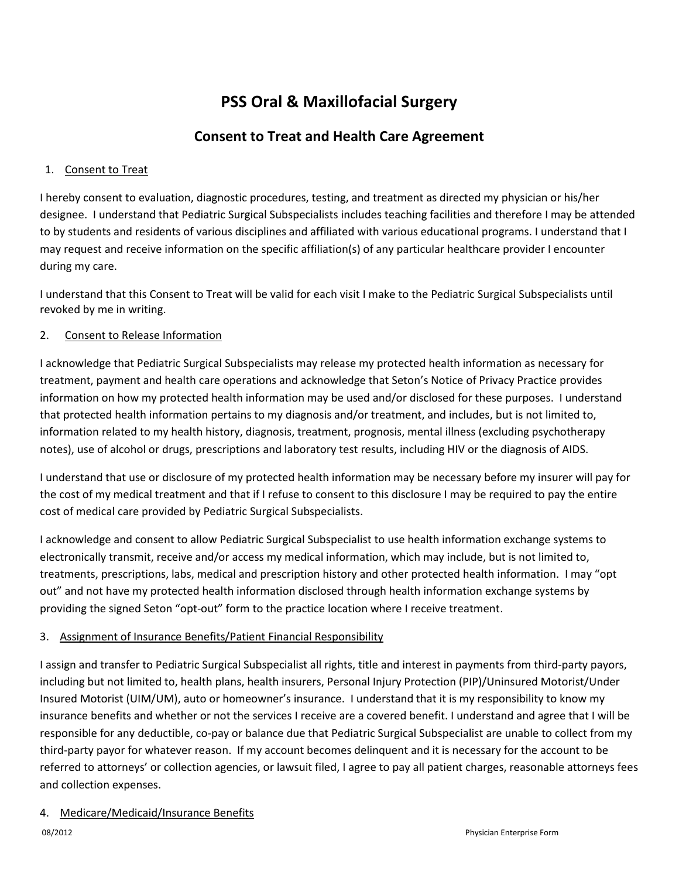# **PSS Oral & Maxillofacial Surgery**

# **Consent to Treat and Health Care Agreement**

# 1. Consent to Treat

I hereby consent to evaluation, diagnostic procedures, testing, and treatment as directed my physician or his/her designee. I understand that Pediatric Surgical Subspecialists includes teaching facilities and therefore I may be attended to by students and residents of various disciplines and affiliated with various educational programs. I understand that I may request and receive information on the specific affiliation(s) of any particular healthcare provider I encounter during my care.

I understand that this Consent to Treat will be valid for each visit I make to the Pediatric Surgical Subspecialists until revoked by me in writing.

# 2. Consent to Release Information

I acknowledge that Pediatric Surgical Subspecialists may release my protected health information as necessary for treatment, payment and health care operations and acknowledge that Seton's Notice of Privacy Practice provides information on how my protected health information may be used and/or disclosed for these purposes. I understand that protected health information pertains to my diagnosis and/or treatment, and includes, but is not limited to, information related to my health history, diagnosis, treatment, prognosis, mental illness (excluding psychotherapy notes), use of alcohol or drugs, prescriptions and laboratory test results, including HIV or the diagnosis of AIDS.

I understand that use or disclosure of my protected health information may be necessary before my insurer will pay for the cost of my medical treatment and that if I refuse to consent to this disclosure I may be required to pay the entire cost of medical care provided by Pediatric Surgical Subspecialists.

I acknowledge and consent to allow Pediatric Surgical Subspecialist to use health information exchange systems to electronically transmit, receive and/or access my medical information, which may include, but is not limited to, treatments, prescriptions, labs, medical and prescription history and other protected health information. I may "opt out" and not have my protected health information disclosed through health information exchange systems by providing the signed Seton "opt-out" form to the practice location where I receive treatment.

# 3. Assignment of Insurance Benefits/Patient Financial Responsibility

I assign and transfer to Pediatric Surgical Subspecialist all rights, title and interest in payments from third-party payors, including but not limited to, health plans, health insurers, Personal Injury Protection (PIP)/Uninsured Motorist/Under Insured Motorist (UIM/UM), auto or homeowner's insurance. I understand that it is my responsibility to know my insurance benefits and whether or not the services I receive are a covered benefit. I understand and agree that I will be responsible for any deductible, co-pay or balance due that Pediatric Surgical Subspecialist are unable to collect from my third-party payor for whatever reason. If my account becomes delinquent and it is necessary for the account to be referred to attorneys' or collection agencies, or lawsuit filed, I agree to pay all patient charges, reasonable attorneys fees and collection expenses.

# 4. Medicare/Medicaid/Insurance Benefits